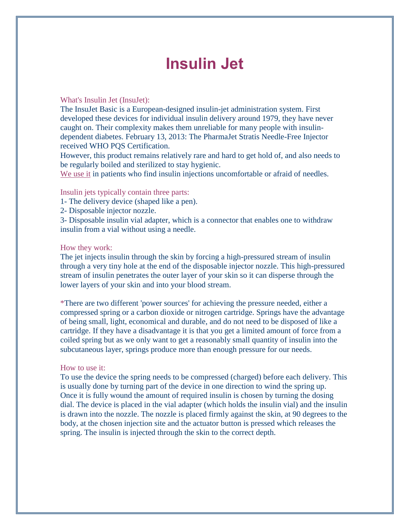# **Insulin Jet**

#### What's Insulin Jet (InsuJet):

The InsuJet Basic is a European-designed insulin-jet administration system. First developed these devices for individual insulin delivery around 1979, they have never caught on. Their complexity makes them unreliable for many people with insulindependent diabetes. February 13, 2013: The PharmaJet Stratis Needle-Free Injector received WHO PQS Certification.

However, this product remains relatively rare and hard to get hold of, and also needs to be regularly boiled and sterilized to stay hygienic.

We use it in patients who find [insulin injections](http://www.diabetes.co.uk/insulin/diabetes-and-injecting-insulin.html) uncomfortable or afraid of needles.

#### Insulin jets typically contain three parts:

- 1- The delivery device (shaped like a pen).
- 2- Disposable injector nozzle.

3- Disposable insulin vial adapter, which is a connector that enables one to withdraw insulin from a vial without using a needle.

#### How they work:

The jet injects insulin through the skin by forcing a high-pressured stream of insulin through a very tiny hole at the end of the disposable injector nozzle. This high-pressured stream of insulin penetrates the outer layer of your skin so it can disperse through the lower layers of your skin and into your blood stream.

\*There are two different 'power sources' for achieving the pressure needed, either a compressed spring or a carbon dioxide or nitrogen cartridge. Springs have the advantage of being small, light, economical and durable, and do not need to be disposed of like a cartridge. If they have a disadvantage it is that you get a limited amount of force from a coiled spring but as we only want to get a reasonably small quantity of insulin into the subcutaneous layer, springs produce more than enough pressure for our needs.

#### How to use it:

To use the device the spring needs to be compressed (charged) before each delivery. This is usually done by turning part of the device in one direction to wind the spring up. Once it is fully wound the amount of required insulin is chosen by turning the dosing dial. The device is placed in the vial adapter (which holds the insulin vial) and the insulin is drawn into the nozzle. The nozzle is placed firmly against the skin, at 90 degrees to the body, at the chosen injection site and the actuator button is pressed which releases the spring. The insulin is injected through the skin to the correct depth.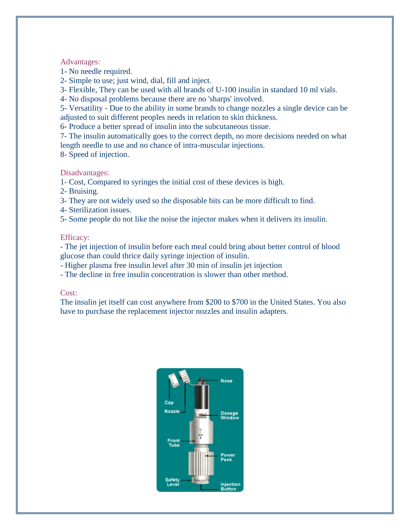#### Advantages:

1- No needle required.

2- Simple to use; just wind, dial, fill and inject.

3- Flexible, They can be used with all brands of U-100 insulin in standard 10 ml vials.

4- No disposal problems because there are no 'sharps' involved.

5- Versatility - Due to the ability in some brands to change nozzles a single device can be adjusted to suit different peoples needs in relation to skin thickness.

6- Produce a better spread of insulin into the subcutaneous tissue.

7- The insulin automatically goes to the correct depth, no more decisions needed on what length needle to use and no chance of intra-muscular injections.

8- Speed of injection.

#### Disadvantages:

1- Cost, Compared to syringes the initial cost of these devices is high.

2- Bruising.

3- They are not widely used so the disposable bits can be more difficult to find.

4- Sterilization issues.

5- Some people do not like the noise the injector makes when it delivers its insulin.

#### Efficacy:

- The jet injection of insulin before each meal could bring about better control of blood glucose than could thrice daily syringe injection of insulin.

- Higher plasma free insulin level after 30 min of insulin jet injection

- The decline in free insulin concentration is slower than other method.

#### Cost:

The insulin jet itself can cost anywhere from \$200 to \$700 in the United States. You also have to purchase the replacement injector nozzles and insulin adapters.

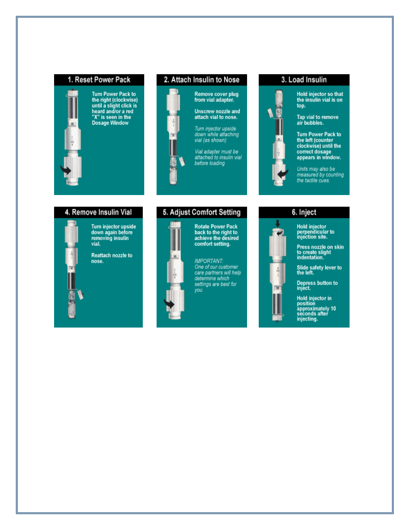#### 1. Reset Power Pack



Turn Power Pack to<br>the right (clockwise)<br>until a slight click is<br>heard and/or a red<br>"X" is seen in the<br>Dosage Window

#### 2. Attach Insulin to Nose



Turn injector upside<br>down while attaching<br>vial (as shown)

Vial adapter must be<br>attached to insulin vial<br>before loading

3. Load Insulin



Hold injector so that<br>the insulin vial is on top.

Tap vial to remove<br>air bubbles.

Turn Power Pack to<br>the left (counter<br>clockwise) until the<br>correct dosage<br>appears in window.

Units may also be measured by counting the tactile cues.

#### 4. Remove Insulin Vial

Turn injector upside<br>down again before removing insulin vial.

Reattach nozzle to nose.

#### 5. Adjust Comfort Setting

**Rotate Power Pack<br>back to the right to<br>achieve the desired** ×.

comfort setting. **IMPORTANT:** One of our customer

care partners will help<br>determine which settings are best for you.

## 6. Inject

Hold injector<br>perpendicular to<br>injection site.

Press nozzle on skin<br>to create slight<br>indentation.

Slide safety lever to<br>the left.

Depress button to<br>inject.

Hold injector in<br>position<br>approximately 10<br>seconds after<br>injecting.